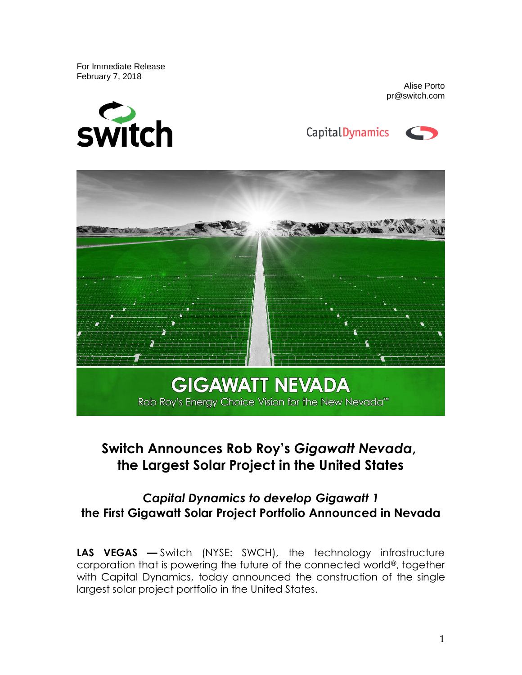For Immediate Release February 7, 2018



Alise Porto pr@switch.com





# **Switch Announces Rob Roy's** *Gigawatt Nevada***, the Largest Solar Project in the United States**

## *Capital Dynamics to develop Gigawatt 1* **the First Gigawatt Solar Project Portfolio Announced in Nevada**

**LAS VEGAS —** Switch (NYSE: SWCH), the technology infrastructure corporation that is powering the future of the connected world®, together with Capital Dynamics, today announced the construction of the single largest solar project portfolio in the United States.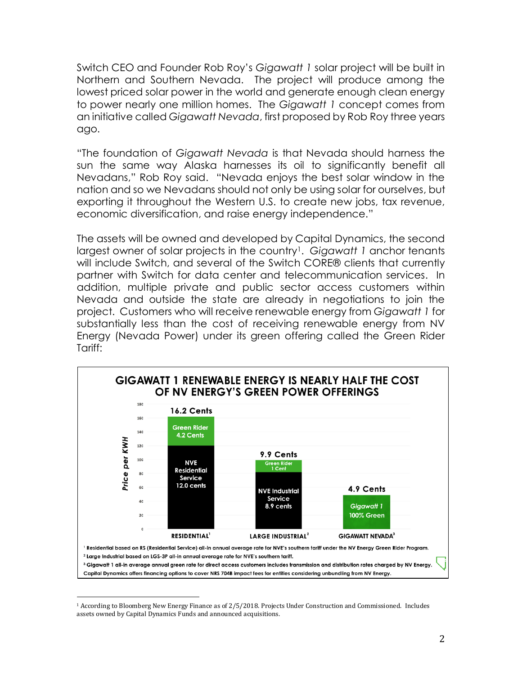Switch CEO and Founder Rob Roy's *Gigawatt 1* solar project will be built in Northern and Southern Nevada. The project will produce among the lowest priced solar power in the world and generate enough clean energy to power nearly one million homes. The *Gigawatt 1* concept comes from an initiative called *Gigawatt Nevada*, first proposed by Rob Roy three years ago.

"The foundation of *Gigawatt Nevada* is that Nevada should harness the sun the same way Alaska harnesses its oil to significantly benefit all Nevadans," Rob Roy said. "Nevada enjoys the best solar window in the nation and so we Nevadans should not only be using solar for ourselves, but exporting it throughout the Western U.S. to create new jobs, tax revenue, economic diversification, and raise energy independence."

The assets will be owned and developed by Capital Dynamics, the second largest owner of solar projects in the country<sup>1</sup>. *Gigawatt 1* anchor tenants will include Switch, and several of the Switch CORE® clients that currently partner with Switch for data center and telecommunication services. In addition, multiple private and public sector access customers within Nevada and outside the state are already in negotiations to join the project. Customers who will receive renewable energy from *Gigawatt 1* for substantially less than the cost of receiving renewable energy from NV Energy (Nevada Power) under its green offering called the Green Rider Tariff:



 $\overline{a}$ <sup>1</sup> According to Bloomberg New Energy Finance as of 2/5/2018. Projects Under Construction and Commissioned. Includes assets owned by Capital Dynamics Funds and announced acquisitions.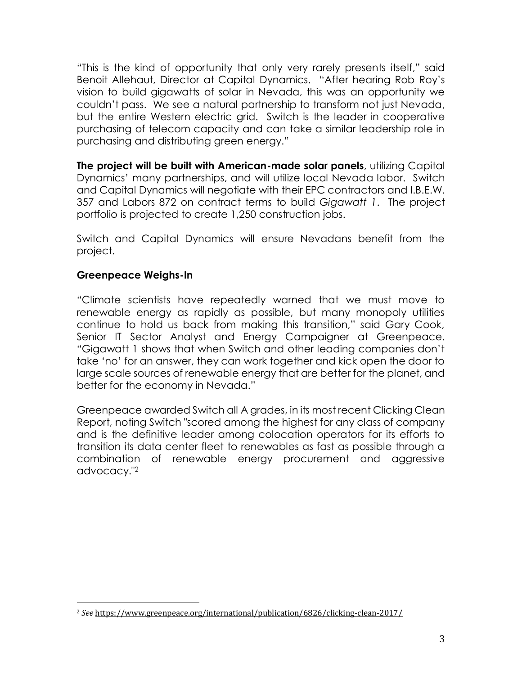"This is the kind of opportunity that only very rarely presents itself," said Benoit Allehaut, Director at Capital Dynamics. "After hearing Rob Roy's vision to build gigawatts of solar in Nevada, this was an opportunity we couldn't pass. We see a natural partnership to transform not just Nevada, but the entire Western electric grid. Switch is the leader in cooperative purchasing of telecom capacity and can take a similar leadership role in purchasing and distributing green energy."

**The project will be built with American-made solar panels**, utilizing Capital Dynamics' many partnerships, and will utilize local Nevada labor. Switch and Capital Dynamics will negotiate with their EPC contractors and I.B.E.W. 357 and Labors 872 on contract terms to build *Gigawatt 1*. The project portfolio is projected to create 1,250 construction jobs.

Switch and Capital Dynamics will ensure Nevadans benefit from the project.

## **Greenpeace Weighs-In**

"Climate scientists have repeatedly warned that we must move to renewable energy as rapidly as possible, but many monopoly utilities continue to hold us back from making this transition," said Gary Cook, Senior IT Sector Analyst and Energy Campaigner at Greenpeace. "Gigawatt 1 shows that when Switch and other leading companies don't take 'no' for an answer, they can work together and kick open the door to large scale sources of renewable energy that are better for the planet, and better for the economy in Nevada."

Greenpeace awarded Switch all A grades, in its most recent Clicking Clean Report, noting Switch "scored among the highest for any class of company and is the definitive leader among colocation operators for its efforts to transition its data center fleet to renewables as fast as possible through a combination of renewable energy procurement and aggressive advocacy."<sup>2</sup>

l <sup>2</sup> *See* https://www.greenpeace.org/international/publication/6826/clicking-clean-2017/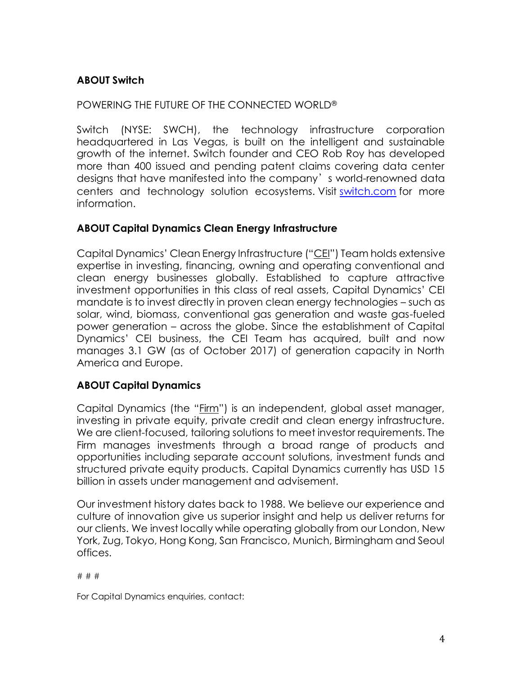## **ABOUT Switch**

## POWERING THE FUTURE OF THE CONNECTED WORLD®

Switch (NYSE: SWCH), the technology infrastructure corporation headquartered in Las Vegas, is built on the intelligent and sustainable growth of the internet. Switch founder and CEO Rob Roy has developed more than 400 issued and pending patent claims covering data center designs that have manifested into the company's world-renowned data centers and technology solution ecosystems. Visit [switch.com](https://www.switch.com/) for more information.

## **ABOUT Capital Dynamics Clean Energy Infrastructure**

Capital Dynamics' Clean Energy Infrastructure ("CEI") Team holds extensive expertise in investing, financing, owning and operating conventional and clean energy businesses globally. Established to capture attractive investment opportunities in this class of real assets, Capital Dynamics' CEI mandate is to invest directly in proven clean energy technologies – such as solar, wind, biomass, conventional gas generation and waste gas-fueled power generation – across the globe. Since the establishment of Capital Dynamics' CEI business, the CEI Team has acquired, built and now manages 3.1 GW (as of October 2017) of generation capacity in North America and Europe.

## **ABOUT Capital Dynamics**

Capital Dynamics (the "Firm") is an independent, global asset manager, investing in private equity, private credit and clean energy infrastructure. We are client-focused, tailoring solutions to meet investor requirements. The Firm manages investments through a broad range of products and opportunities including separate account solutions, investment funds and structured private equity products. Capital Dynamics currently has USD 15 billion in assets under management and advisement.

Our investment history dates back to 1988. We believe our experience and culture of innovation give us superior insight and help us deliver returns for our clients. We invest locally while operating globally from our London, New York, Zug, Tokyo, Hong Kong, San Francisco, Munich, Birmingham and Seoul offices.

# # #

For Capital Dynamics enquiries, contact: